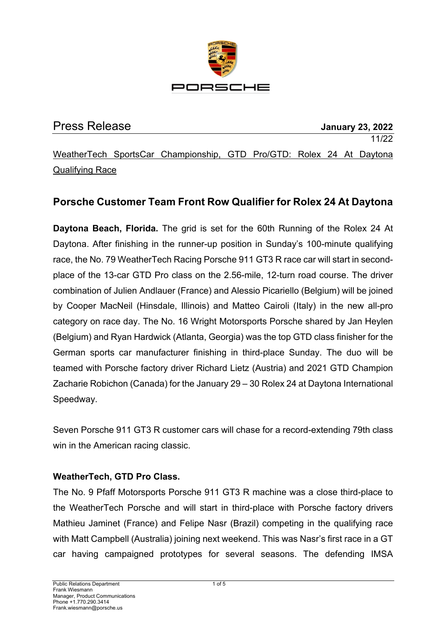

| <b>Press Release</b>   |  |                                                                      |  |  |  | <b>January 23, 2022</b> |  |       |  |
|------------------------|--|----------------------------------------------------------------------|--|--|--|-------------------------|--|-------|--|
|                        |  |                                                                      |  |  |  |                         |  | 11/22 |  |
|                        |  | WeatherTech SportsCar Championship, GTD Pro/GTD: Rolex 24 At Daytona |  |  |  |                         |  |       |  |
| <b>Qualifying Race</b> |  |                                                                      |  |  |  |                         |  |       |  |

# **Porsche Customer Team Front Row Qualifier for Rolex 24 At Daytona**

**Daytona Beach, Florida.** The grid is set for the 60th Running of the Rolex 24 At Daytona. After finishing in the runner-up position in Sunday's 100-minute qualifying race, the No. 79 WeatherTech Racing Porsche 911 GT3 R race car will start in secondplace of the 13-car GTD Pro class on the 2.56-mile, 12-turn road course. The driver combination of Julien Andlauer (France) and Alessio Picariello (Belgium) will be joined by Cooper MacNeil (Hinsdale, Illinois) and Matteo Cairoli (Italy) in the new all-pro category on race day. The No. 16 Wright Motorsports Porsche shared by Jan Heylen (Belgium) and Ryan Hardwick (Atlanta, Georgia) was the top GTD class finisher for the German sports car manufacturer finishing in third-place Sunday. The duo will be teamed with Porsche factory driver Richard Lietz (Austria) and 2021 GTD Champion Zacharie Robichon (Canada) for the January 29 – 30 Rolex 24 at Daytona International Speedway.

Seven Porsche 911 GT3 R customer cars will chase for a record-extending 79th class win in the American racing classic.

#### **WeatherTech, GTD Pro Class.**

The No. 9 Pfaff Motorsports Porsche 911 GT3 R machine was a close third-place to the WeatherTech Porsche and will start in third-place with Porsche factory drivers Mathieu Jaminet (France) and Felipe Nasr (Brazil) competing in the qualifying race with Matt Campbell (Australia) joining next weekend. This was Nasr's first race in a GT car having campaigned prototypes for several seasons. The defending IMSA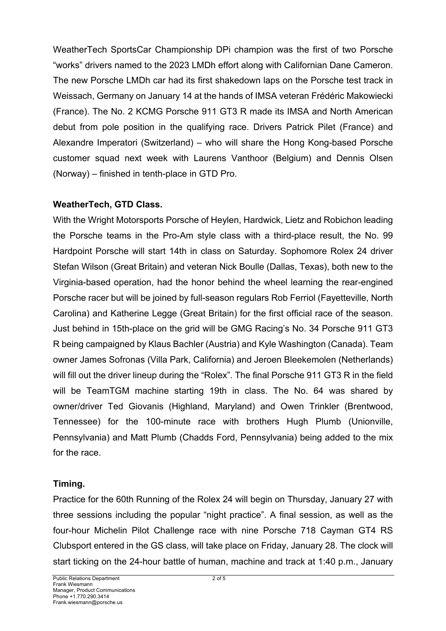WeatherTech SportsCar Championship DPi champion was the first of two Porsche "works" drivers named to the 2023 LMDh effort along with Californian Dane Cameron. The new Porsche LMDh car had its first shakedown laps on the Porsche test track in Weissach, Germany on January 14 at the hands of IMSA veteran Frédéric Makowiecki (France). The No. 2 KCMG Porsche 911 GT3 R made its IMSA and North American debut from pole position in the qualifying race. Drivers Patrick Pilet (France) and Alexandre Imperatori (Switzerland) – who will share the Hong Kong-based Porsche customer squad next week with Laurens Vanthoor (Belgium) and Dennis Olsen (Norway) – finished in tenth-place in GTD Pro.

#### **WeatherTech, GTD Class.**

With the Wright Motorsports Porsche of Heylen, Hardwick, Lietz and Robichon leading the Porsche teams in the Pro-Am style class with a third-place result, the No. 99 Hardpoint Porsche will start 14th in class on Saturday. Sophomore Rolex 24 driver Stefan Wilson (Great Britain) and veteran Nick Boulle (Dallas, Texas), both new to the Virginia-based operation, had the honor behind the wheel learning the rear-engined Porsche racer but will be joined by full-season regulars Rob Ferriol (Fayetteville, North Carolina) and Katherine Legge (Great Britain) for the first official race of the season. Just behind in 15th-place on the grid will be GMG Racing's No. 34 Porsche 911 GT3 R being campaigned by Klaus Bachler (Austria) and Kyle Washington (Canada). Team owner James Sofronas (Villa Park, California) and Jeroen Bleekemolen (Netherlands) will fill out the driver lineup during the "Rolex". The final Porsche 911 GT3 R in the field will be TeamTGM machine starting 19th in class. The No. 64 was shared by owner/driver Ted Giovanis (Highland, Maryland) and Owen Trinkler (Brentwood, Tennessee) for the 100-minute race with brothers Hugh Plumb (Unionville, Pennsylvania) and Matt Plumb (Chadds Ford, Pennsylvania) being added to the mix for the race.

### **Timing.**

Practice for the 60th Running of the Rolex 24 will begin on Thursday, January 27 with three sessions including the popular "night practice". A final session, as well as the four-hour Michelin Pilot Challenge race with nine Porsche 718 Cayman GT4 RS Clubsport entered in the GS class, will take place on Friday, January 28. The clock will start ticking on the 24-hour battle of human, machine and track at 1:40 p.m., January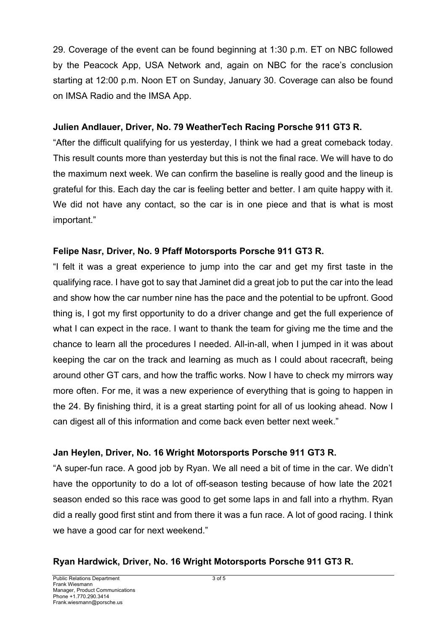29. Coverage of the event can be found beginning at 1:30 p.m. ET on NBC followed by the Peacock App, USA Network and, again on NBC for the race's conclusion starting at 12:00 p.m. Noon ET on Sunday, January 30. Coverage can also be found on IMSA Radio and the IMSA App.

### **Julien Andlauer, Driver, No. 79 WeatherTech Racing Porsche 911 GT3 R.**

"After the difficult qualifying for us yesterday, I think we had a great comeback today. This result counts more than yesterday but this is not the final race. We will have to do the maximum next week. We can confirm the baseline is really good and the lineup is grateful for this. Each day the car is feeling better and better. I am quite happy with it. We did not have any contact, so the car is in one piece and that is what is most important."

### **Felipe Nasr, Driver, No. 9 Pfaff Motorsports Porsche 911 GT3 R.**

"I felt it was a great experience to jump into the car and get my first taste in the qualifying race. I have got to say that Jaminet did a great job to put the car into the lead and show how the car number nine has the pace and the potential to be upfront. Good thing is, I got my first opportunity to do a driver change and get the full experience of what I can expect in the race. I want to thank the team for giving me the time and the chance to learn all the procedures I needed. All-in-all, when I jumped in it was about keeping the car on the track and learning as much as I could about racecraft, being around other GT cars, and how the traffic works. Now I have to check my mirrors way more often. For me, it was a new experience of everything that is going to happen in the 24. By finishing third, it is a great starting point for all of us looking ahead. Now I can digest all of this information and come back even better next week."

### **Jan Heylen, Driver, No. 16 Wright Motorsports Porsche 911 GT3 R.**

"A super-fun race. A good job by Ryan. We all need a bit of time in the car. We didn't have the opportunity to do a lot of off-season testing because of how late the 2021 season ended so this race was good to get some laps in and fall into a rhythm. Ryan did a really good first stint and from there it was a fun race. A lot of good racing. I think we have a good car for next weekend."

### **Ryan Hardwick, Driver, No. 16 Wright Motorsports Porsche 911 GT3 R.**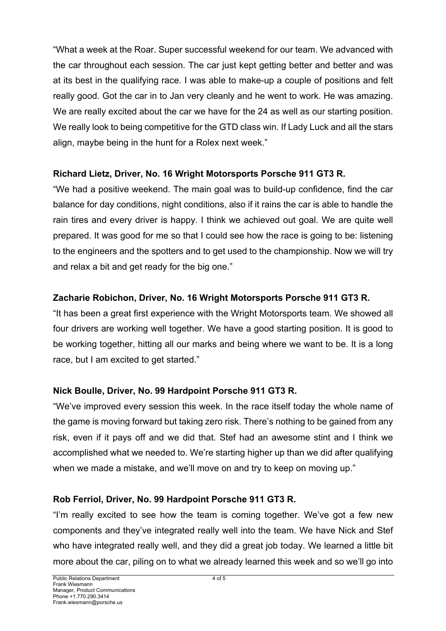"What a week at the Roar. Super successful weekend for our team. We advanced with the car throughout each session. The car just kept getting better and better and was at its best in the qualifying race. I was able to make-up a couple of positions and felt really good. Got the car in to Jan very cleanly and he went to work. He was amazing. We are really excited about the car we have for the 24 as well as our starting position. We really look to being competitive for the GTD class win. If Lady Luck and all the stars align, maybe being in the hunt for a Rolex next week."

## **Richard Lietz, Driver, No. 16 Wright Motorsports Porsche 911 GT3 R.**

"We had a positive weekend. The main goal was to build-up confidence, find the car balance for day conditions, night conditions, also if it rains the car is able to handle the rain tires and every driver is happy. I think we achieved out goal. We are quite well prepared. It was good for me so that I could see how the race is going to be: listening to the engineers and the spotters and to get used to the championship. Now we will try and relax a bit and get ready for the big one."

## **Zacharie Robichon, Driver, No. 16 Wright Motorsports Porsche 911 GT3 R.**

"It has been a great first experience with the Wright Motorsports team. We showed all four drivers are working well together. We have a good starting position. It is good to be working together, hitting all our marks and being where we want to be. It is a long race, but I am excited to get started."

## **Nick Boulle, Driver, No. 99 Hardpoint Porsche 911 GT3 R.**

"We've improved every session this week. In the race itself today the whole name of the game is moving forward but taking zero risk. There's nothing to be gained from any risk, even if it pays off and we did that. Stef had an awesome stint and I think we accomplished what we needed to. We're starting higher up than we did after qualifying when we made a mistake, and we'll move on and try to keep on moving up."

## **Rob Ferriol, Driver, No. 99 Hardpoint Porsche 911 GT3 R.**

"I'm really excited to see how the team is coming together. We've got a few new components and they've integrated really well into the team. We have Nick and Stef who have integrated really well, and they did a great job today. We learned a little bit more about the car, piling on to what we already learned this week and so we'll go into